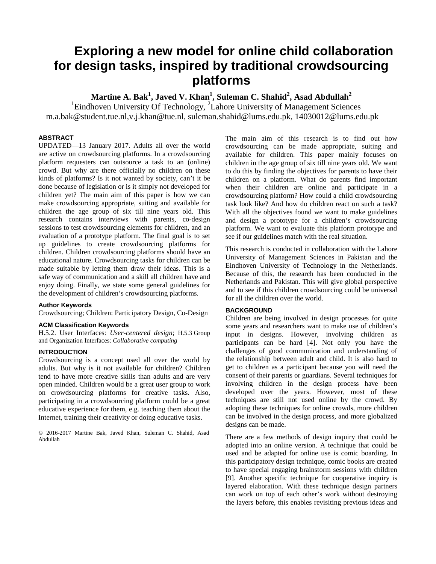# **Exploring a new model for online child collaboration for design tasks, inspired by traditional crowdsourcing platforms**

**Martine A. Bak<sup>1</sup> , Javed V. Khan<sup>1</sup> , Suleman C. Shahid<sup>2</sup> , Asad Abdullah<sup>2</sup>**

<sup>1</sup>Eindhoven University Of Technology, <sup>2</sup>Lahore University of Management Sciences [m.a.bak@student.tue.nl,](mailto:m.a.bak@student.tue.nl)[v.j.khan@tue.nl,](mailto:v.j.khan@tue.nl) [suleman.shahid@lums.edu.pk,](mailto:suleman.shahid@lums.edu.pk) [14030012@lums.edu.pk](mailto:14030012@lums.edu.pk)

# **ABSTRACT**

UPDATED—13 January 2017. Adults all over the world are active on crowdsourcing platforms. In a crowdsourcing platform requesters can outsource a task to an (online) crowd. But why are there officially no children on these kinds of platforms? Is it not wanted by society, can't it be done because of legislation or is it simply not developed for children yet? The main aim of this paper is how we can make crowdsourcing appropriate, suiting and available for children the age group of six till nine years old. This research contains interviews with parents, co-design sessions to test crowdsourcing elements for children, and an evaluation of a prototype platform. The final goal is to set up guidelines to create crowdsourcing platforms for children. Children crowdsourcing platforms should have an educational nature. Crowdsourcing tasks for children can be made suitable by letting them draw their ideas. This is a safe way of communication and a skill all children have and enjoy doing. Finally, we state some general guidelines for the development of children's crowdsourcing platforms.

# **Author Keywords**

Crowdsourcing; Children: Participatory Design, Co-Design

# **ACM Classification Keywords**

H.5.2. User Interfaces: *User-centered design*; H.5.3 Group and Organization Interfaces: *Collaborative computing*

# **INTRODUCTION**

Crowdsourcing is a concept used all over the world by adults. But why is it not available for children? Children tend to have more creative skills than adults and are very open minded. Children would be a great user group to work on crowdsourcing platforms for creative tasks. Also, participating in a crowdsourcing platform could be a great educative experience for them, e.g. teaching them about the Internet, training their creativity or doing educative tasks.

© 2016-2017 Martine Bak, Javed Khan, Suleman C. Shahid, Asad Abdullah

The main aim of this research is to find out how crowdsourcing can be made appropriate, suiting and available for children. This paper mainly focuses on children in the age group of six till nine years old. We want to do this by finding the objectives for parents to have their children on a platform. What do parents find important when their children are online and participate in a crowdsourcing platform? How could a child crowdsourcing task look like? And how do children react on such a task? With all the objectives found we want to make guidelines and design a prototype for a children's crowdsourcing platform. We want to evaluate this platform prototype and see if our guidelines match with the real situation.

This research is conducted in collaboration with the Lahore University of Management Sciences in Pakistan and the Eindhoven University of Technology in the Netherlands. Because of this, the research has been conducted in the Netherlands and Pakistan. This will give global perspective and to see if this children crowdsourcing could be universal for all the children over the world.

#### **BACKGROUND**

Children are being involved in design processes for quite some years and researchers want to make use of children's input in designs. However, involving children as participants can be hard [4]. Not only you have the challenges of good communication and understanding of the relationship between adult and child. It is also hard to get to children as a participant because you will need the consent of their parents or guardians. Several techniques for involving children in the design process have been developed over the years. However, most of these techniques are still not used online by the crowd. By adopting these techniques for online crowds, more children can be involved in the design process, and more globalized designs can be made.

There are a few methods of design inquiry that could be adopted into an online version. A technique that could be used and be adapted for online use is comic boarding. In this participatory design technique, comic books are created to have special engaging brainstorm sessions with children [9]. Another specific technique for cooperative inquiry is layered elaboration. With these technique design partners can work on top of each other's work without destroying the layers before, this enables revisiting previous ideas and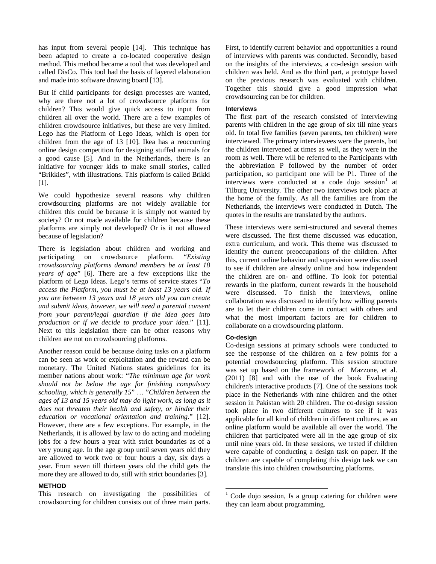has input from several people [14]. This technique has been adapted to create a co-located cooperative design method. This method became a tool that was developed and called DisCo. This tool had the basis of layered elaboration and made into software drawing board [13].

But if child participants for design processes are wanted, why are there not a lot of crowdsource platforms for children? This would give quick access to input from children all over the world. There are a few examples of children crowdsource initiatives, but these are very limited. Lego has the Platform of Lego Ideas, which is open for children from the age of 13 [10]. Ikea has a reoccurring online design competition for designing stuffed animals for a good cause [5]. And in the Netherlands, there is an initiative for younger kids to make small stories, called "Brikkies", with illustrations. This platform is called Brikki [1].

We could hypothesize several reasons why children crowdsourcing platforms are not widely available for children this could be because it is simply not wanted by society? Or not made available for children because these platforms are simply not developed? Or is it not allowed because of legislation?

There is legislation about children and working and participating on crowdsource platform. "*Existing crowdsourcing platforms demand members be at least 18 years of age*" [6]. There are a few exceptions like the platform of Lego Ideas. Lego's terms of service states "*To access the Platform, you must be at least 13 years old. If you are between 13 years and 18 years old you can create and submit ideas, however, we will need a parental consent from your parent/legal guardian if the idea goes into production or if we decide to produce your idea.*" [11]. Next to this legislation there can be other reasons why children are not on crowdsourcing platforms.

Another reason could be because doing tasks on a platform can be seen as work or exploitation and the reward can be monetary. The United Nations states guidelines for its member nations about work: "*The minimum age for work should not be below the age for finishing compulsory schooling, which is generally 15*" … "*Children between the ages of 13 and 15 years old may do light work, as long as it does not threaten their health and safety, or hinder their education or vocational orientation and training.*" [12]. However, there are a few exceptions. For example, in the Netherlands, it is allowed by law to do acting and modeling jobs for a few hours a year with strict boundaries as of a very young age. In the age group until seven years old they are allowed to work two or four hours a day, six days a year. From seven till thirteen years old the child gets the more they are allowed to do, still with strict boundaries [3].

# **METHOD**

<span id="page-1-0"></span>This research on investigating the possibilities of crowdsourcing for children consists out of three main parts.

First, to identify current behavior and opportunities a round of interviews with parents was conducted. Secondly, based on the insights of the interviews, a co-design session with children was held. And as the third part, a prototype based on the previous research was evaluated with children. Together this should give a good impression what crowdsourcing can be for children.

#### **Interviews**

The first part of the research consisted of interviewing parents with children in the age group of six till nine years old. In total five families (seven parents, ten children) were interviewed. The primary interviewees were the parents, but the children intervened at times as well, as they were in the room as well. There will be referred to the Participants with the abbreviation P followed by the number of order participation, so participant one will be P1. Three of the interviews were conducted at a code dojo session  $1$  at Tilburg University. The other two interviews took place at the home of the family. As all the families are from the Netherlands, the interviews were conducted in Dutch. The quotes in the results are translated by the authors.

These interviews were semi-structured and several themes were discussed. The first theme discussed was education, extra curriculum, and work. This theme was discussed to identify the current preoccupations of the children. After this, current online behavior and supervision were discussed to see if children are already online and how independent the children are on- and offline. To look for potential rewards in the platform, current rewards in the household were discussed. To finish the interviews, online collaboration was discussed to identify how willing parents are to let their children come in contact with others-and what the most important factors are for children to collaborate on a crowdsourcing platform.

#### **Co-design**

Co-design sessions at primary schools were conducted to see the response of the children on a few points for a potential crowdsourcing platform. This session structure was set up based on the framework of Mazzone, et al. (2011) [8] and with the use of the book Evaluating children's interactive products [7]. One of the sessions took place in the Netherlands with nine children and the other session in Pakistan with 20 children. The co-design session took place in two different cultures to see if it was applicable for all kind of children in different cultures, as an online platform would be available all over the world. The children that participated were all in the age group of six until nine years old. In these sessions, we tested if children were capable of conducting a design task on paper. If the children are capable of completing this design task we can translate this into children crowdsourcing platforms.

 $1 \text{ Code }$  dojo session, Is a group catering for children were they can learn about programming.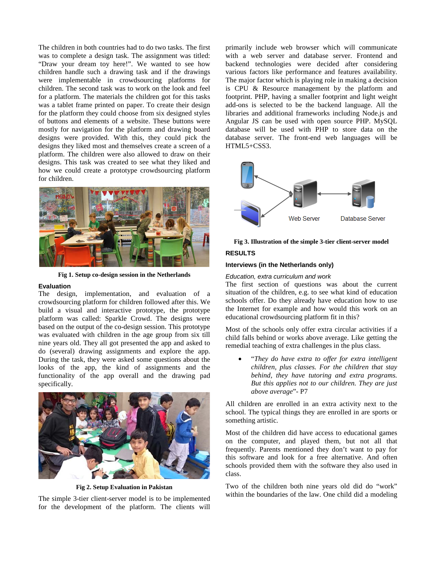The children in both countries had to do two tasks. The first was to complete a design task. The assignment was titled: "Draw your dream toy here!". We wanted to see how children handle such a drawing task and if the drawings were implementable in crowdsourcing platforms for children. The second task was to work on the look and feel for a platform. The materials the children got for this tasks was a tablet frame printed on paper. To create their design for the platform they could choose from six designed styles of buttons and elements of a website. These buttons were mostly for navigation for the platform and drawing board designs were provided. With this, they could pick the designs they liked most and themselves create a screen of a platform. The children were also allowed to draw on their designs. This task was created to see what they liked and how we could create a prototype crowdsourcing platform for children.



**Fig 1. Setup co-design session in the Netherlands**

# **Evaluation**

The design, implementation, and evaluation of a crowdsourcing platform for children followed after this. We build a visual and interactive prototype, the prototype platform was called: Sparkle Crowd. The designs were based on the output of the co-design session. This prototype was evaluated with children in the age group from six till nine years old. They all got presented the app and asked to do (several) drawing assignments and explore the app. During the task, they were asked some questions about the looks of the app, the kind of assignments and the functionality of the app overall and the drawing pad specifically.



**Fig 2. Setup Evaluation in Pakistan**

The simple 3-tier client-server model is to be implemented for the development of the platform. The clients will primarily include web browser which will communicate with a web server and database server. Frontend and backend technologies were decided after considering various factors like performance and features availability. The major factor which is playing role in making a decision is CPU & Resource management by the platform and footprint. PHP, having a smaller footprint and light weight add-ons is selected to be the backend language. All the libraries and additional frameworks including Node.js and Angular JS can be used with open source PHP. MySQL database will be used with PHP to store data on the database server. The front-end web languages will be HTML5+CSS3.



# **Fig 3. Illustration of the simple 3-tier client-server model RESULTS**

# **Interviews (in the Netherlands only)**

#### *Education, extra curriculum and work*

The first section of questions was about the current situation of the children, e.g. to see what kind of education schools offer. Do they already have education how to use the Internet for example and how would this work on an educational crowdsourcing platform fit in this?

Most of the schools only offer extra circular activities if a child falls behind or works above average. Like getting the remedial teaching of extra challenges in the plus class.

• "*They do have extra to offer for extra intelligent children, plus classes. For the children that stay behind, they have tutoring and extra programs. But this applies not to our children. They are just above average*"- P7

All children are enrolled in an extra activity next to the school. The typical things they are enrolled in are sports or something artistic.

Most of the children did have access to educational games on the computer, and played them, but not all that frequently. Parents mentioned they don't want to pay for this software and look for a free alternative. And often schools provided them with the software they also used in class.

Two of the children both nine years old did do "work" within the boundaries of the law. One child did a modeling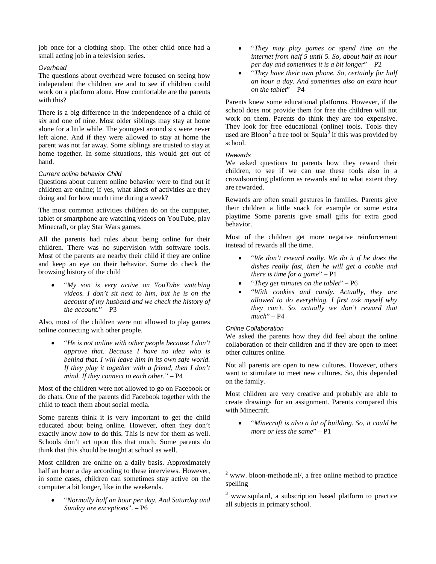job once for a clothing shop. The other child once had a small acting job in a television series.

# *Overhead*

The questions about overhead were focused on seeing how independent the children are and to see if children could work on a platform alone. How comfortable are the parents with this?

There is a big difference in the independence of a child of six and one of nine. Most older siblings may stay at home alone for a little while. The youngest around six were never left alone. And if they were allowed to stay at home the parent was not far away. Some siblings are trusted to stay at home together. In some situations, this would get out of hand.

#### *Current online behavior Child*

Questions about current online behavior were to find out if children are online; if yes, what kinds of activities are they doing and for how much time during a week?

The most common activities children do on the computer, tablet or smartphone are watching videos on YouTube, play Minecraft, or play Star Wars games.

All the parents had rules about being online for their children. There was no supervision with software tools. Most of the parents are nearby their child if they are online and keep an eye on their behavior. Some do check the browsing history of the child

• "*My son is very active on YouTube watching videos. I don't sit next to him, but he is on the account of my husband and we check the history of the account.*" – P3

Also, most of the children were not allowed to play games online connecting with other people.

• "*He is not online with other people because I don't approve that. Because I have no idea who is behind that. I will leave him in its own safe world. If they play it together with a friend, then I don't mind. If they connect to each other.*" – P4

Most of the children were not allowed to go on Facebook or do chats. One of the parents did Facebook together with the child to teach them about social media.

Some parents think it is very important to get the child educated about being online. However, often they don't exactly know how to do this. This is new for them as well. Schools don't act upon this that much. Some parents do think that this should be taught at school as well.

<span id="page-3-0"></span>Most children are online on a daily basis. Approximately half an hour a day according to these interviews. However, in some cases, children can sometimes stay active on the computer a bit longer, like in the weekends.

<span id="page-3-1"></span>• "*Normally half an hour per day. And Saturday and Sunday are exceptions*". – P6

- "*They may play games or spend time on the internet from half 5 until 5. So, about half an hour per day and sometimes it is a bit longer*" – P2
- "*They have their own phone. So, certainly for half an hour a day. And sometimes also an extra hour on the tablet*" – P4

Parents knew some educational platforms. However, if the school does not provide them for free the children will not work on them. Parents do think they are too expensive. They look for free educational (online) tools. Tools they used are Bloon<sup>[2](#page-3-0)</sup> a free tool or Squla<sup>[3](#page-3-1)</sup> if this was provided by school.

### *Rewards*

We asked questions to parents how they reward their children, to see if we can use these tools also in a crowdsourcing platform as rewards and to what extent they are rewarded.

Rewards are often small gestures in families. Parents give their children a little snack for example or some extra playtime Some parents give small gifts for extra good behavior.

Most of the children get more negative reinforcement instead of rewards all the time.

- "*We don't reward really. We do it if he does the dishes really fast, then he will get a cookie and there is time for a game*" – P1
- "*They get minutes on the tablet*" P6
- "*With cookies and candy. Actually, they are allowed to do everything. I first ask myself why they can't. So, actually we don't reward that much*" – P4

# *Online Collaboration*

We asked the parents how they did feel about the online collaboration of their children and if they are open to meet other cultures online.

Not all parents are open to new cultures. However, others want to stimulate to meet new cultures. So, this depended on the family.

Most children are very creative and probably are able to create drawings for an assignment. Parents compared this with Minecraft.

• "*Minecraft is also a lot of building. So, it could be more or less the same*" – P1

 $2$  www. bloon-methode.nl/, a free online method to practice spelling

<sup>&</sup>lt;sup>3</sup> www.squla.nl, a subscription based platform to practice all subjects in primary school.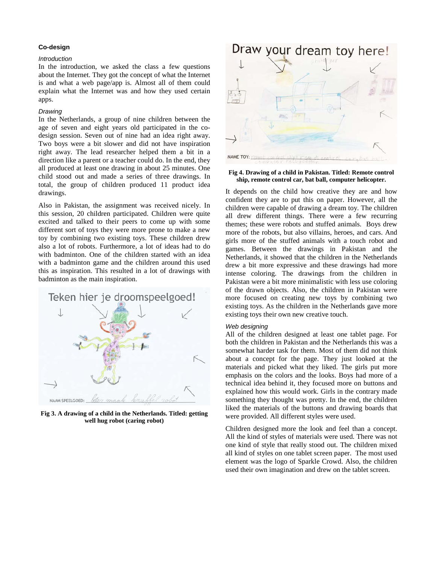#### **Co-design**

#### *Introduction*

In the introduction, we asked the class a few questions about the Internet. They got the concept of what the Internet is and what a web page/app is. Almost all of them could explain what the Internet was and how they used certain apps.

#### *Drawing*

In the Netherlands, a group of nine children between the age of seven and eight years old participated in the codesign session. Seven out of nine had an idea right away. Two boys were a bit slower and did not have inspiration right away. The lead researcher helped them a bit in a direction like a parent or a teacher could do. In the end, they all produced at least one drawing in about 25 minutes. One child stood out and made a series of three drawings. In total, the group of children produced 11 product idea drawings.

Also in Pakistan, the assignment was received nicely. In this session, 20 children participated. Children were quite excited and talked to their peers to come up with some different sort of toys they were more prone to make a new toy by combining two existing toys. These children drew also a lot of robots. Furthermore, a lot of ideas had to do with badminton. One of the children started with an idea with a badminton game and the children around this used this as inspiration. This resulted in a lot of drawings with badminton as the main inspiration.



**Fig 3. A drawing of a child in the Netherlands. Titled: getting well hug robot (caring robot)**



**Fig 4. Drawing of a child in Pakistan. Titled: Remote control ship, remote control car, bat ball, computer helicopter.** 

It depends on the child how creative they are and how confident they are to put this on paper. However, all the children were capable of drawing a dream toy. The children all drew different things. There were a few recurring themes; these were robots and stuffed animals. Boys drew more of the robots, but also villains, heroes, and cars. And girls more of the stuffed animals with a touch robot and games. Between the drawings in Pakistan and the Netherlands, it showed that the children in the Netherlands drew a bit more expressive and these drawings had more intense coloring. The drawings from the children in Pakistan were a bit more minimalistic with less use coloring of the drawn objects. Also, the children in Pakistan were more focused on creating new toys by combining two existing toys. As the children in the Netherlands gave more existing toys their own new creative touch.

#### *Web designing*

All of the children designed at least one tablet page. For both the children in Pakistan and the Netherlands this was a somewhat harder task for them. Most of them did not think about a concept for the page. They just looked at the materials and picked what they liked. The girls put more emphasis on the colors and the looks. Boys had more of a technical idea behind it, they focused more on buttons and explained how this would work. Girls in the contrary made something they thought was pretty. In the end, the children liked the materials of the buttons and drawing boards that were provided. All different styles were used.

Children designed more the look and feel than a concept. All the kind of styles of materials were used. There was not one kind of style that really stood out. The children mixed all kind of styles on one tablet screen paper. The most used element was the logo of Sparkle Crowd. Also, the children used their own imagination and drew on the tablet screen.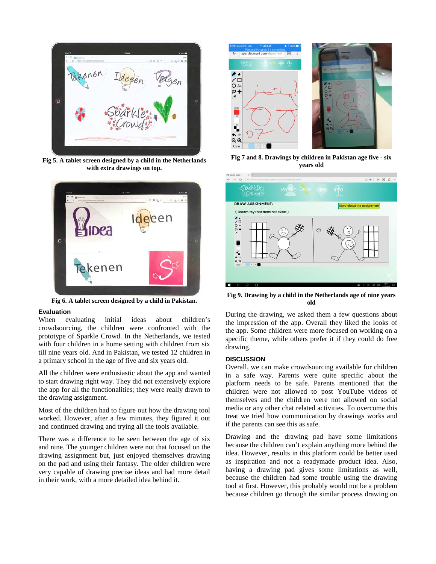

**Fig 5. A tablet screen designed by a child in the Netherlands with extra drawings on top.** 



**Fig 6. A tablet screen designed by a child in Pakistan.** 

# **Evaluation**

When evaluating initial ideas about children's crowdsourcing, the children were confronted with the prototype of Sparkle Crowd. In the Netherlands, we tested with four children in a home setting with children from six till nine years old. And in Pakistan, we tested 12 children in a primary school in the age of five and six years old.

All the children were enthusiastic about the app and wanted to start drawing right way. They did not extensively explore the app for all the functionalities; they were really drawn to the drawing assignment.

Most of the children had to figure out how the drawing tool worked. However, after a few minutes, they figured it out and continued drawing and trying all the tools available.

There was a difference to be seen between the age of six and nine. The younger children were not that focused on the drawing assignment but, just enjoyed themselves drawing on the pad and using their fantasy. The older children were very capable of drawing precise ideas and had more detail in their work, with a more detailed idea behind it.



**Fig 7 and 8. Drawings by children in Pakistan age five - six years old**



**Fig 9. Drawing by a child in the Netherlands age of nine years old**

During the drawing, we asked them a few questions about the impression of the app. Overall they liked the looks of the app. Some children were more focused on working on a specific theme, while others prefer it if they could do free drawing.

# **DISCUSSION**

Overall, we can make crowdsourcing available for children in a safe way. Parents were quite specific about the platform needs to be safe. Parents mentioned that the children were not allowed to post YouTube videos of themselves and the children were not allowed on social media or any other chat related activities. To overcome this treat we tried how communication by drawings works and if the parents can see this as safe.

Drawing and the drawing pad have some limitations because the children can't explain anything more behind the idea. However, results in this platform could be better used as inspiration and not a readymade product idea. Also, having a drawing pad gives some limitations as well, because the children had some trouble using the drawing tool at first. However, this probably would not be a problem because children go through the similar process drawing on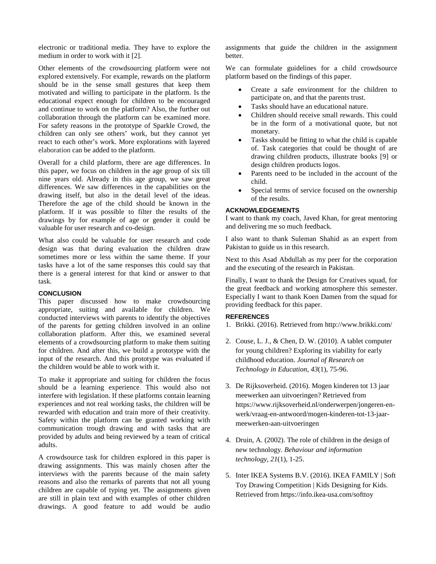electronic or traditional media. They have to explore the medium in order to work with it [2].

Other elements of the crowdsourcing platform were not explored extensively. For example, rewards on the platform should be in the sense small gestures that keep them motivated and willing to participate in the platform. Is the educational expect enough for children to be encouraged and continue to work on the platform? Also, the further out collaboration through the platform can be examined more. For safety reasons in the prototype of Sparkle Crowd, the children can only see others' work, but they cannot yet react to each other's work. More explorations with layered elaboration can be added to the platform.

Overall for a child platform, there are age differences. In this paper, we focus on children in the age group of six till nine years old. Already in this age group, we saw great differences. We saw differences in the capabilities on the drawing itself, but also in the detail level of the ideas. Therefore the age of the child should be known in the platform. If it was possible to filter the results of the drawings by for example of age or gender it could be valuable for user research and co-design.

What also could be valuable for user research and code design was that during evaluation the children draw sometimes more or less within the same theme. If your tasks have a lot of the same responses this could say that there is a general interest for that kind or answer to that task.

# **CONCLUSION**

This paper discussed how to make crowdsourcing appropriate, suiting and available for children. We conducted interviews with parents to identify the objectives of the parents for getting children involved in an online collaboration platform. After this, we examined several elements of a crowdsourcing platform to make them suiting for children. And after this, we build a prototype with the input of the research. And this prototype was evaluated if the children would be able to work with it.

To make it appropriate and suiting for children the focus should be a learning experience. This would also not interfere with legislation. If these platforms contain learning experiences and not real working tasks, the children will be rewarded with education and train more of their creativity. Safety within the platform can be granted working with communication trough drawing and with tasks that are provided by adults and being reviewed by a team of critical adults.

A crowdsource task for children explored in this paper is drawing assignments. This was mainly chosen after the interviews with the parents because of the main safety reasons and also the remarks of parents that not all young children are capable of typing yet. The assignments given are still in plain text and with examples of other children drawings. A good feature to add would be audio assignments that guide the children in the assignment better.

We can formulate guidelines for a child crowdsource platform based on the findings of this paper.

- Create a safe environment for the children to participate on, and that the parents trust.
- Tasks should have an educational nature.
- Children should receive small rewards. This could be in the form of a motivational quote, but not monetary.
- Tasks should be fitting to what the child is capable of. Task categories that could be thought of are drawing children products, illustrate books [9] or design children products logos.
- Parents need to be included in the account of the child.
- Special terms of service focused on the ownership of the results.

### **ACKNOWLEDGEMENTS**

I want to thank my coach, Javed Khan, for great mentoring and delivering me so much feedback.

I also want to thank Suleman Shahid as an expert from Pakistan to guide us in this research.

Next to this Asad Abdullah as my peer for the corporation and the executing of the research in Pakistan.

Finally, I want to thank the Design for Creatives squad, for the great feedback and working atmosphere this semester. Especially I want to thank Koen Damen from the squad for providing feedback for this paper.

# **REFERENCES**

- 1. Brikki. (2016). Retrieved from http://www.brikki.com/
- 2. Couse, L. J., & Chen, D. W. (2010). A tablet computer for young children? Exploring its viability for early childhood education. *Journal of Research on Technology in Education*, *43*(1), 75-96.
- 3. De Rijksoverheid. (2016). Mogen kinderen tot 13 jaar meewerken aan uitvoeringen? Retrieved from https://www.rijksoverheid.nl/onderwerpen/jongeren-enwerk/vraag-en-antwoord/mogen-kinderen-tot-13-jaarmeewerken-aan-uitvoeringen
- 4. Druin, A. (2002). The role of children in the design of new technology. *Behaviour and information technology*, *21*(1), 1-25.
- 5. Inter IKEA Systems B.V. (2016). IKEA FAMILY | Soft Toy Drawing Competition | Kids Designing for Kids. Retrieved from https://info.ikea-usa.com/softtoy